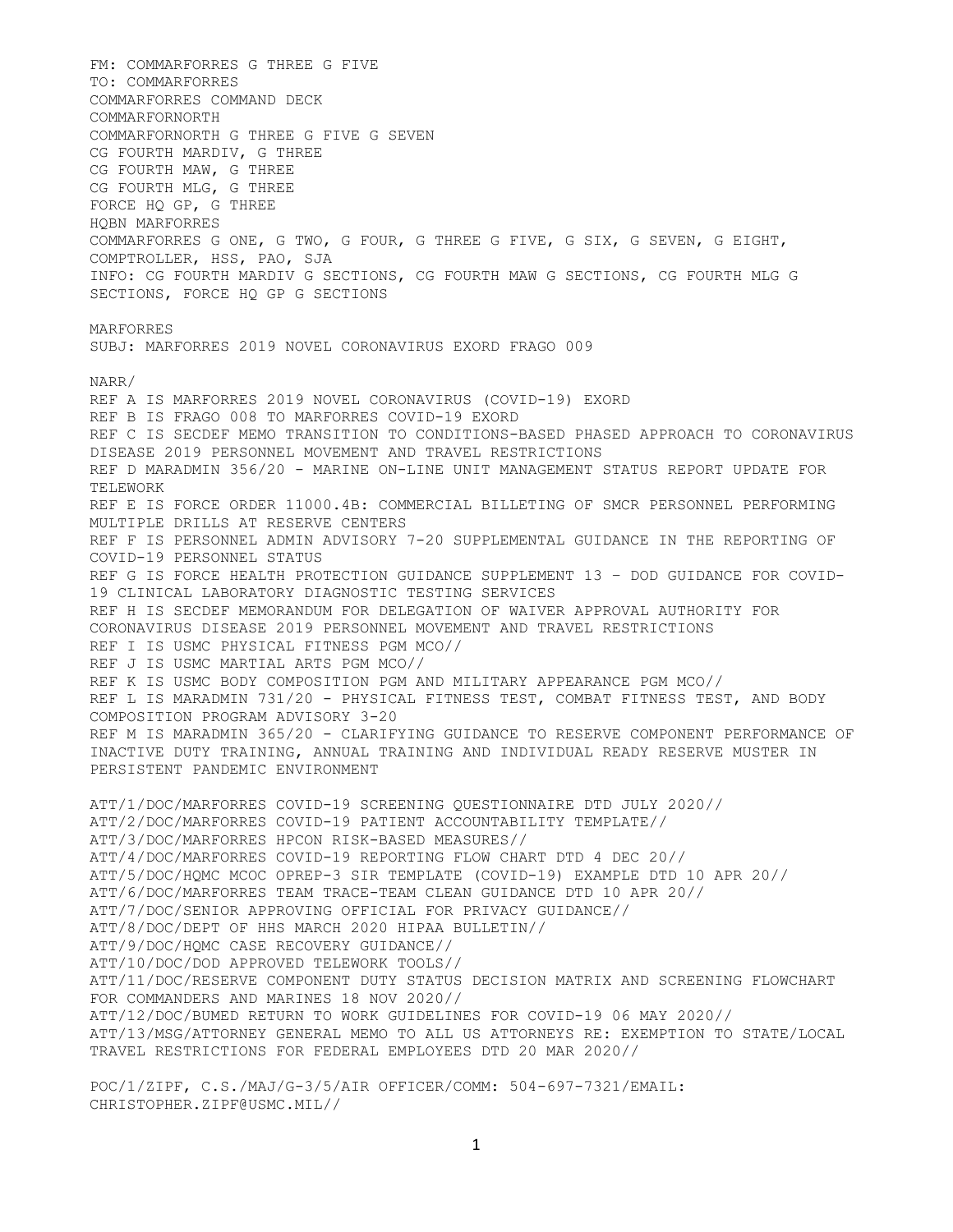FM: COMMARFORRES G THREE G FIVE TO: COMMARFORRES COMMARFORRES COMMAND DECK COMMARFORNORTH COMMARFORNORTH G THREE G FIVE G SEVEN CG FOURTH MARDIV, G THREE CG FOURTH MAW, G THREE CG FOURTH MLG, G THREE FORCE HQ GP, G THREE HQBN MARFORRES COMMARFORRES G ONE, G TWO, G FOUR, G THREE G FIVE, G SIX, G SEVEN, G EIGHT, COMPTROLLER, HSS, PAO, SJA INFO: CG FOURTH MARDIV G SECTIONS, CG FOURTH MAW G SECTIONS, CG FOURTH MLG G SECTIONS, FORCE HQ GP G SECTIONS MARFORRES SUBJ: MARFORRES 2019 NOVEL CORONAVIRUS EXORD FRAGO 009 NARR/ REF A IS MARFORRES 2019 NOVEL CORONAVIRUS (COVID-19) EXORD REF B IS FRAGO 008 TO MARFORRES COVID-19 EXORD REF C IS SECDEF MEMO TRANSITION TO CONDITIONS-BASED PHASED APPROACH TO CORONAVIRUS DISEASE 2019 PERSONNEL MOVEMENT AND TRAVEL RESTRICTIONS REF D MARADMIN 356/20 - MARINE ON-LINE UNIT MANAGEMENT STATUS REPORT UPDATE FOR TELEWORK REF E IS FORCE ORDER 11000.4B: COMMERCIAL BILLETING OF SMCR PERSONNEL PERFORMING MULTIPLE DRILLS AT RESERVE CENTERS REF F IS PERSONNEL ADMIN ADVISORY 7-20 SUPPLEMENTAL GUIDANCE IN THE REPORTING OF COVID-19 PERSONNEL STATUS REF G IS FORCE HEALTH PROTECTION GUIDANCE SUPPLEMENT 13 – DOD GUIDANCE FOR COVID-19 CLINICAL LABORATORY DIAGNOSTIC TESTING SERVICES REF H IS SECDEF MEMORANDUM FOR DELEGATION OF WAIVER APPROVAL AUTHORITY FOR CORONAVIRUS DISEASE 2019 PERSONNEL MOVEMENT AND TRAVEL RESTRICTIONS REF I IS USMC PHYSICAL FITNESS PGM MCO// REF J IS USMC MARTIAL ARTS PGM MCO// REF K IS USMC BODY COMPOSITION PGM AND MILITARY APPEARANCE PGM MCO// REF L IS MARADMIN 731/20 - PHYSICAL FITNESS TEST, COMBAT FITNESS TEST, AND BODY COMPOSITION PROGRAM ADVISORY 3-20 REF M IS MARADMIN 365/20 - CLARIFYING GUIDANCE TO RESERVE COMPONENT PERFORMANCE OF INACTIVE DUTY TRAINING, ANNUAL TRAINING AND INDIVIDUAL READY RESERVE MUSTER IN PERSISTENT PANDEMIC ENVIRONMENT ATT/1/DOC/MARFORRES COVID-19 SCREENING QUESTIONNAIRE DTD JULY 2020// ATT/2/DOC/MARFORRES COVID-19 PATIENT ACCOUNTABILITY TEMPLATE// ATT/3/DOC/MARFORRES HPCON RISK-BASED MEASURES// ATT/4/DOC/MARFORRES COVID-19 REPORTING FLOW CHART DTD 4 DEC 20// ATT/5/DOC/HQMC MCOC OPREP-3 SIR TEMPLATE (COVID-19) EXAMPLE DTD 10 APR 20// ATT/6/DOC/MARFORRES TEAM TRACE-TEAM CLEAN GUIDANCE DTD 10 APR 20// ATT/7/DOC/SENIOR APPROVING OFFICIAL FOR PRIVACY GUIDANCE// ATT/8/DOC/DEPT OF HHS MARCH 2020 HIPAA BULLETIN// ATT/9/DOC/HQMC CASE RECOVERY GUIDANCE// ATT/10/DOC/DOD APPROVED TELEWORK TOOLS// ATT/11/DOC/RESERVE COMPONENT DUTY STATUS DECISION MATRIX AND SCREENING FLOWCHART FOR COMMANDERS AND MARINES 18 NOV 2020// ATT/12/DOC/BUMED RETURN TO WORK GUIDELINES FOR COVID-19 06 MAY 2020// ATT/13/MSG/ATTORNEY GENERAL MEMO TO ALL US ATTORNEYS RE: EXEMPTION TO STATE/LOCAL TRAVEL RESTRICTIONS FOR FEDERAL EMPLOYEES DTD 20 MAR 2020//

POC/1/ZIPF, C.S./MAJ/G-3/5/AIR OFFICER/COMM: 504-697-7321/EMAIL: CHRISTOPHER.ZIPF@USMC.MIL//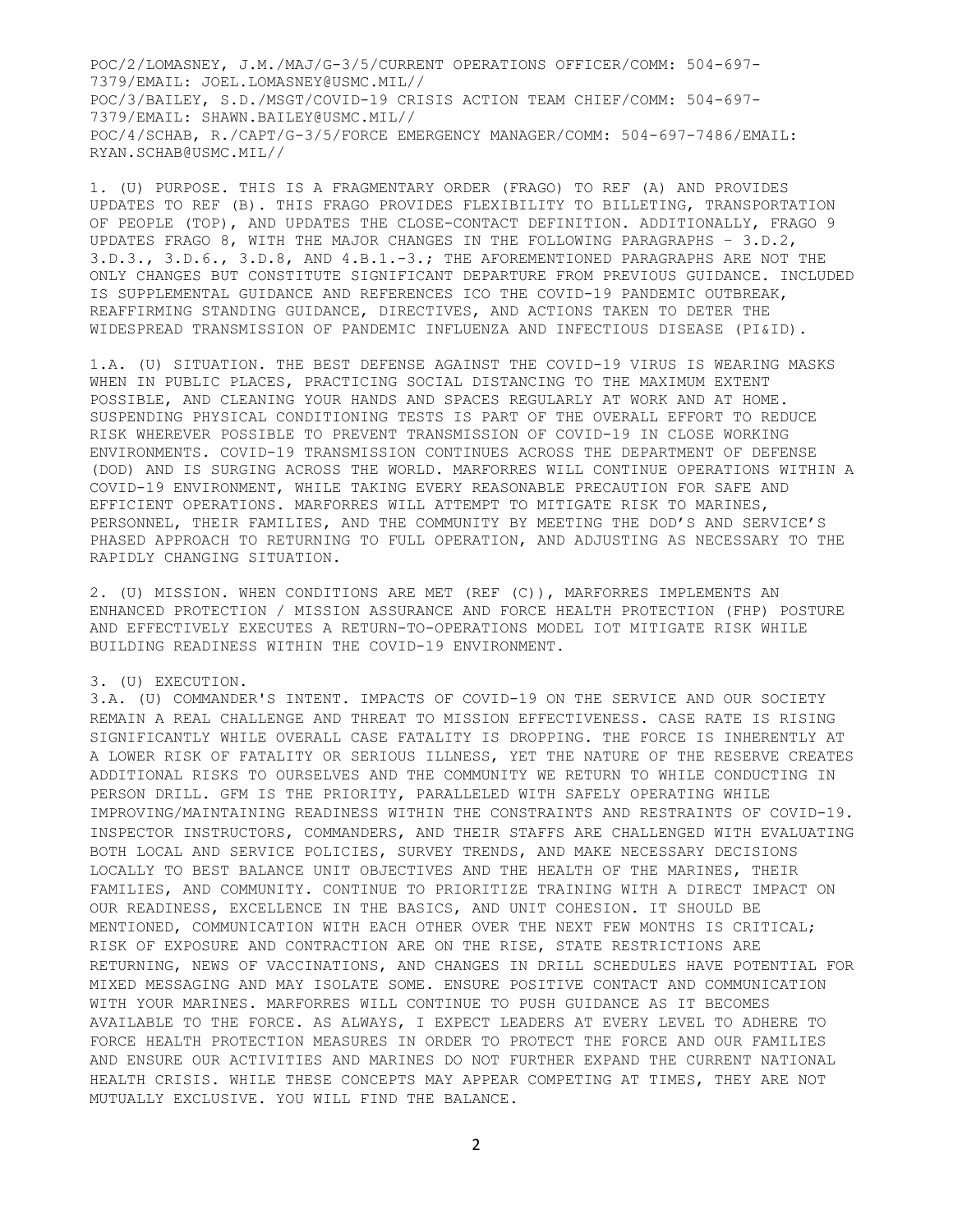POC/2/LOMASNEY, J.M./MAJ/G-3/5/CURRENT OPERATIONS OFFICER/COMM: 504-697- 7379/EMAIL: JOEL.LOMASNEY@USMC.MIL// POC/3/BAILEY, S.D./MSGT/COVID-19 CRISIS ACTION TEAM CHIEF/COMM: 504-697- 7379/EMAIL: SHAWN.BAILEY@USMC.MIL// POC/4/SCHAB, R./CAPT/G-3/5/FORCE EMERGENCY MANAGER/COMM: 504-697-7486/EMAIL: RYAN.SCHAB@USMC.MIL//

1. (U) PURPOSE. THIS IS A FRAGMENTARY ORDER (FRAGO) TO REF (A) AND PROVIDES UPDATES TO REF (B). THIS FRAGO PROVIDES FLEXIBILITY TO BILLETING, TRANSPORTATION OF PEOPLE (TOP), AND UPDATES THE CLOSE-CONTACT DEFINITION. ADDITIONALLY, FRAGO 9 UPDATES FRAGO 8, WITH THE MAJOR CHANGES IN THE FOLLOWING PARAGRAPHS – 3.D.2, 3.D.3., 3.D.6., 3.D.8, AND 4.B.1.-3.; THE AFOREMENTIONED PARAGRAPHS ARE NOT THE ONLY CHANGES BUT CONSTITUTE SIGNIFICANT DEPARTURE FROM PREVIOUS GUIDANCE. INCLUDED IS SUPPLEMENTAL GUIDANCE AND REFERENCES ICO THE COVID-19 PANDEMIC OUTBREAK, REAFFIRMING STANDING GUIDANCE, DIRECTIVES, AND ACTIONS TAKEN TO DETER THE WIDESPREAD TRANSMISSION OF PANDEMIC INFLUENZA AND INFECTIOUS DISEASE (PI&ID).

1.A. (U) SITUATION. THE BEST DEFENSE AGAINST THE COVID-19 VIRUS IS WEARING MASKS WHEN IN PUBLIC PLACES, PRACTICING SOCIAL DISTANCING TO THE MAXIMUM EXTENT POSSIBLE, AND CLEANING YOUR HANDS AND SPACES REGULARLY AT WORK AND AT HOME. SUSPENDING PHYSICAL CONDITIONING TESTS IS PART OF THE OVERALL EFFORT TO REDUCE RISK WHEREVER POSSIBLE TO PREVENT TRANSMISSION OF COVID-19 IN CLOSE WORKING ENVIRONMENTS. COVID-19 TRANSMISSION CONTINUES ACROSS THE DEPARTMENT OF DEFENSE (DOD) AND IS SURGING ACROSS THE WORLD. MARFORRES WILL CONTINUE OPERATIONS WITHIN A COVID-19 ENVIRONMENT, WHILE TAKING EVERY REASONABLE PRECAUTION FOR SAFE AND EFFICIENT OPERATIONS. MARFORRES WILL ATTEMPT TO MITIGATE RISK TO MARINES, PERSONNEL, THEIR FAMILIES, AND THE COMMUNITY BY MEETING THE DOD'S AND SERVICE'S PHASED APPROACH TO RETURNING TO FULL OPERATION, AND ADJUSTING AS NECESSARY TO THE RAPIDLY CHANGING SITUATION.

2. (U) MISSION. WHEN CONDITIONS ARE MET (REF (C)), MARFORRES IMPLEMENTS AN ENHANCED PROTECTION / MISSION ASSURANCE AND FORCE HEALTH PROTECTION (FHP) POSTURE AND EFFECTIVELY EXECUTES A RETURN-TO-OPERATIONS MODEL IOT MITIGATE RISK WHILE BUILDING READINESS WITHIN THE COVID-19 ENVIRONMENT.

#### 3. (U) EXECUTION.

3.A. (U) COMMANDER'S INTENT. IMPACTS OF COVID-19 ON THE SERVICE AND OUR SOCIETY REMAIN A REAL CHALLENGE AND THREAT TO MISSION EFFECTIVENESS. CASE RATE IS RISING SIGNIFICANTLY WHILE OVERALL CASE FATALITY IS DROPPING. THE FORCE IS INHERENTLY AT A LOWER RISK OF FATALITY OR SERIOUS ILLNESS, YET THE NATURE OF THE RESERVE CREATES ADDITIONAL RISKS TO OURSELVES AND THE COMMUNITY WE RETURN TO WHILE CONDUCTING IN PERSON DRILL. GFM IS THE PRIORITY, PARALLELED WITH SAFELY OPERATING WHILE IMPROVING/MAINTAINING READINESS WITHIN THE CONSTRAINTS AND RESTRAINTS OF COVID-19. INSPECTOR INSTRUCTORS, COMMANDERS, AND THEIR STAFFS ARE CHALLENGED WITH EVALUATING BOTH LOCAL AND SERVICE POLICIES, SURVEY TRENDS, AND MAKE NECESSARY DECISIONS LOCALLY TO BEST BALANCE UNIT OBJECTIVES AND THE HEALTH OF THE MARINES, THEIR FAMILIES, AND COMMUNITY. CONTINUE TO PRIORITIZE TRAINING WITH A DIRECT IMPACT ON OUR READINESS, EXCELLENCE IN THE BASICS, AND UNIT COHESION. IT SHOULD BE MENTIONED, COMMUNICATION WITH EACH OTHER OVER THE NEXT FEW MONTHS IS CRITICAL; RISK OF EXPOSURE AND CONTRACTION ARE ON THE RISE, STATE RESTRICTIONS ARE RETURNING, NEWS OF VACCINATIONS, AND CHANGES IN DRILL SCHEDULES HAVE POTENTIAL FOR MIXED MESSAGING AND MAY ISOLATE SOME. ENSURE POSITIVE CONTACT AND COMMUNICATION WITH YOUR MARINES. MARFORRES WILL CONTINUE TO PUSH GUIDANCE AS IT BECOMES AVAILABLE TO THE FORCE. AS ALWAYS, I EXPECT LEADERS AT EVERY LEVEL TO ADHERE TO FORCE HEALTH PROTECTION MEASURES IN ORDER TO PROTECT THE FORCE AND OUR FAMILIES AND ENSURE OUR ACTIVITIES AND MARINES DO NOT FURTHER EXPAND THE CURRENT NATIONAL HEALTH CRISIS. WHILE THESE CONCEPTS MAY APPEAR COMPETING AT TIMES, THEY ARE NOT MUTUALLY EXCLUSIVE. YOU WILL FIND THE BALANCE.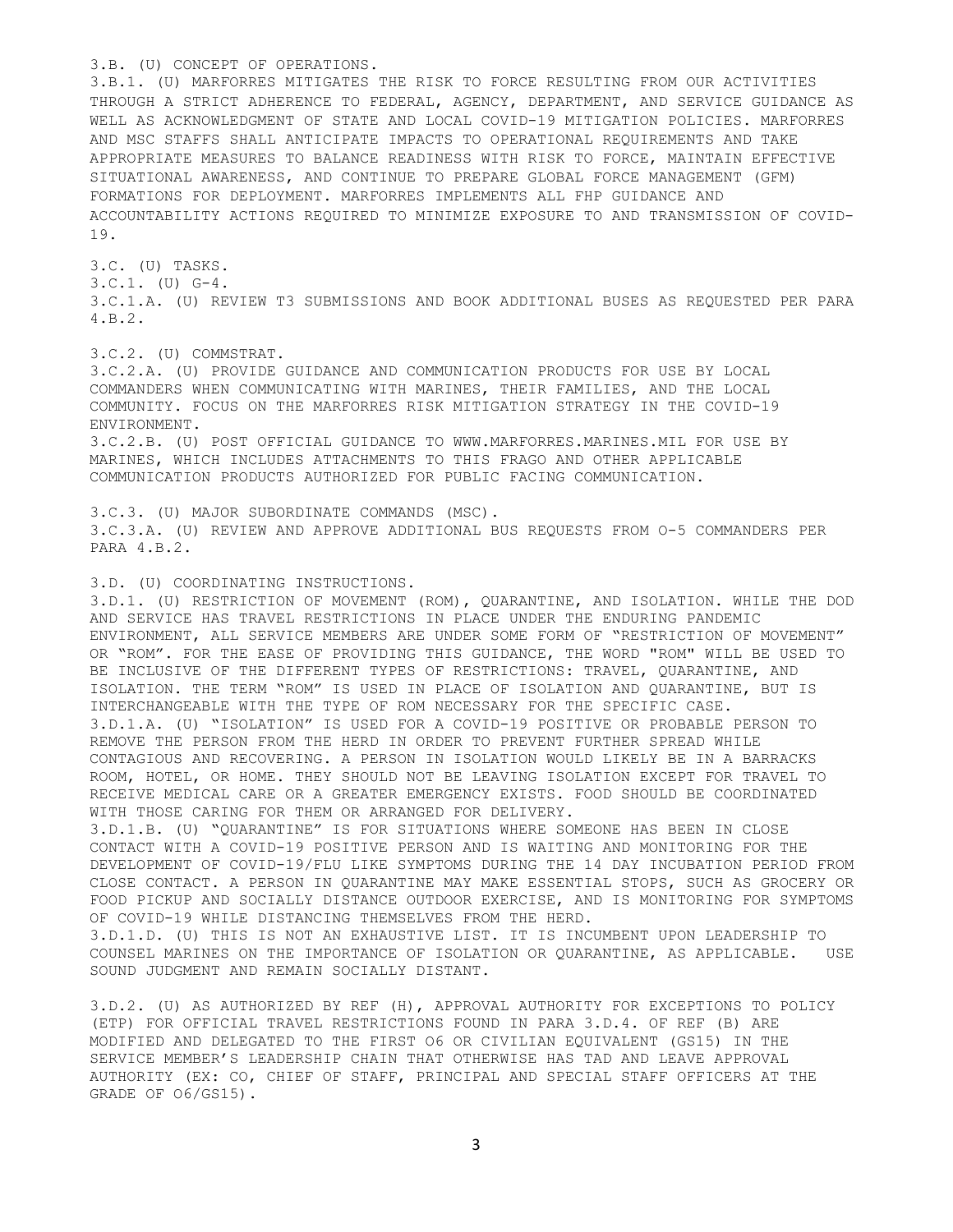### 3.B. (U) CONCEPT OF OPERATIONS.

3.B.1. (U) MARFORRES MITIGATES THE RISK TO FORCE RESULTING FROM OUR ACTIVITIES THROUGH A STRICT ADHERENCE TO FEDERAL, AGENCY, DEPARTMENT, AND SERVICE GUIDANCE AS WELL AS ACKNOWLEDGMENT OF STATE AND LOCAL COVID-19 MITIGATION POLICIES. MARFORRES AND MSC STAFFS SHALL ANTICIPATE IMPACTS TO OPERATIONAL REQUIREMENTS AND TAKE APPROPRIATE MEASURES TO BALANCE READINESS WITH RISK TO FORCE, MAINTAIN EFFECTIVE SITUATIONAL AWARENESS, AND CONTINUE TO PREPARE GLOBAL FORCE MANAGEMENT (GFM) FORMATIONS FOR DEPLOYMENT. MARFORRES IMPLEMENTS ALL FHP GUIDANCE AND ACCOUNTABILITY ACTIONS REQUIRED TO MINIMIZE EXPOSURE TO AND TRANSMISSION OF COVID-19.

3.C. (U) TASKS. 3.C.1. (U) G-4. 3.C.1.A. (U) REVIEW T3 SUBMISSIONS AND BOOK ADDITIONAL BUSES AS REQUESTED PER PARA 4.B.2.

3.C.2. (U) COMMSTRAT.

3.C.2.A. (U) PROVIDE GUIDANCE AND COMMUNICATION PRODUCTS FOR USE BY LOCAL COMMANDERS WHEN COMMUNICATING WITH MARINES, THEIR FAMILIES, AND THE LOCAL COMMUNITY. FOCUS ON THE MARFORRES RISK MITIGATION STRATEGY IN THE COVID-19 ENVIRONMENT. 3.C.2.B. (U) POST OFFICIAL GUIDANCE TO WWW.MARFORRES.MARINES.MIL FOR USE BY MARINES, WHICH INCLUDES ATTACHMENTS TO THIS FRAGO AND OTHER APPLICABLE COMMUNICATION PRODUCTS AUTHORIZED FOR PUBLIC FACING COMMUNICATION.

3.C.3. (U) MAJOR SUBORDINATE COMMANDS (MSC). 3.C.3.A. (U) REVIEW AND APPROVE ADDITIONAL BUS REQUESTS FROM O-5 COMMANDERS PER PARA 4.B.2.

3.D. (U) COORDINATING INSTRUCTIONS.

3.D.1. (U) RESTRICTION OF MOVEMENT (ROM), QUARANTINE, AND ISOLATION. WHILE THE DOD AND SERVICE HAS TRAVEL RESTRICTIONS IN PLACE UNDER THE ENDURING PANDEMIC ENVIRONMENT, ALL SERVICE MEMBERS ARE UNDER SOME FORM OF "RESTRICTION OF MOVEMENT" OR "ROM". FOR THE EASE OF PROVIDING THIS GUIDANCE, THE WORD "ROM" WILL BE USED TO BE INCLUSIVE OF THE DIFFERENT TYPES OF RESTRICTIONS: TRAVEL, QUARANTINE, AND ISOLATION. THE TERM "ROM" IS USED IN PLACE OF ISOLATION AND QUARANTINE, BUT IS INTERCHANGEABLE WITH THE TYPE OF ROM NECESSARY FOR THE SPECIFIC CASE. 3.D.1.A. (U) "ISOLATION" IS USED FOR A COVID-19 POSITIVE OR PROBABLE PERSON TO REMOVE THE PERSON FROM THE HERD IN ORDER TO PREVENT FURTHER SPREAD WHILE CONTAGIOUS AND RECOVERING. A PERSON IN ISOLATION WOULD LIKELY BE IN A BARRACKS ROOM, HOTEL, OR HOME. THEY SHOULD NOT BE LEAVING ISOLATION EXCEPT FOR TRAVEL TO RECEIVE MEDICAL CARE OR A GREATER EMERGENCY EXISTS. FOOD SHOULD BE COORDINATED WITH THOSE CARING FOR THEM OR ARRANGED FOR DELIVERY. 3.D.1.B. (U) "QUARANTINE" IS FOR SITUATIONS WHERE SOMEONE HAS BEEN IN CLOSE

CONTACT WITH A COVID-19 POSITIVE PERSON AND IS WAITING AND MONITORING FOR THE DEVELOPMENT OF COVID-19/FLU LIKE SYMPTOMS DURING THE 14 DAY INCUBATION PERIOD FROM CLOSE CONTACT. A PERSON IN QUARANTINE MAY MAKE ESSENTIAL STOPS, SUCH AS GROCERY OR FOOD PICKUP AND SOCIALLY DISTANCE OUTDOOR EXERCISE, AND IS MONITORING FOR SYMPTOMS OF COVID-19 WHILE DISTANCING THEMSELVES FROM THE HERD.

3.D.1.D. (U) THIS IS NOT AN EXHAUSTIVE LIST. IT IS INCUMBENT UPON LEADERSHIP TO COUNSEL MARINES ON THE IMPORTANCE OF ISOLATION OR QUARANTINE, AS APPLICABLE. USE SOUND JUDGMENT AND REMAIN SOCIALLY DISTANT.

3.D.2. (U) AS AUTHORIZED BY REF (H), APPROVAL AUTHORITY FOR EXCEPTIONS TO POLICY (ETP) FOR OFFICIAL TRAVEL RESTRICTIONS FOUND IN PARA 3.D.4. OF REF (B) ARE MODIFIED AND DELEGATED TO THE FIRST O6 OR CIVILIAN EQUIVALENT (GS15) IN THE SERVICE MEMBER'S LEADERSHIP CHAIN THAT OTHERWISE HAS TAD AND LEAVE APPROVAL AUTHORITY (EX: CO, CHIEF OF STAFF, PRINCIPAL AND SPECIAL STAFF OFFICERS AT THE GRADE OF O6/GS15).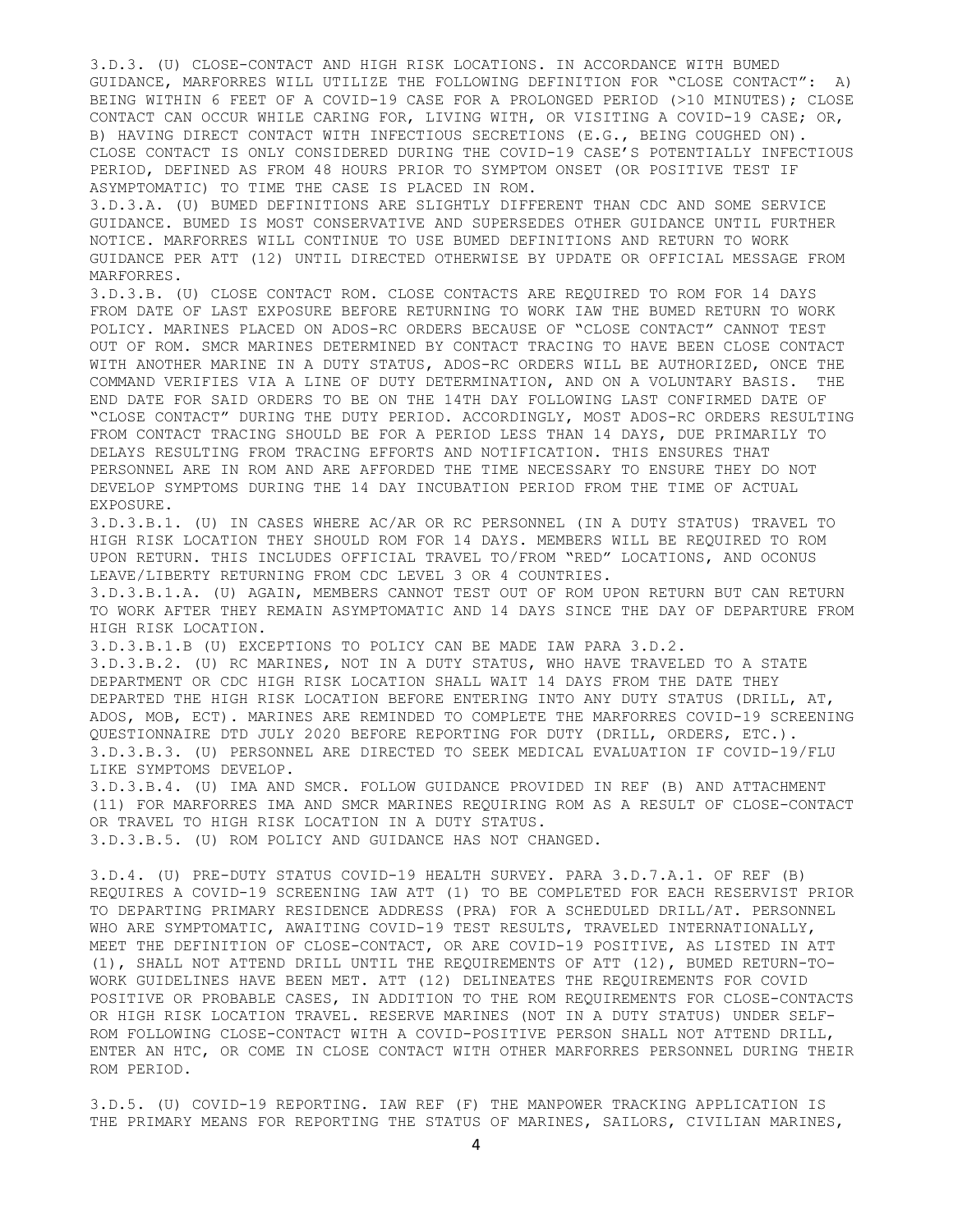3.D.3. (U) CLOSE-CONTACT AND HIGH RISK LOCATIONS. IN ACCORDANCE WITH BUMED GUIDANCE, MARFORRES WILL UTILIZE THE FOLLOWING DEFINITION FOR "CLOSE CONTACT": A) BEING WITHIN 6 FEET OF A COVID-19 CASE FOR A PROLONGED PERIOD (>10 MINUTES); CLOSE CONTACT CAN OCCUR WHILE CARING FOR, LIVING WITH, OR VISITING A COVID-19 CASE; OR, B) HAVING DIRECT CONTACT WITH INFECTIOUS SECRETIONS (E.G., BEING COUGHED ON). CLOSE CONTACT IS ONLY CONSIDERED DURING THE COVID-19 CASE'S POTENTIALLY INFECTIOUS PERIOD, DEFINED AS FROM 48 HOURS PRIOR TO SYMPTOM ONSET (OR POSITIVE TEST IF ASYMPTOMATIC) TO TIME THE CASE IS PLACED IN ROM.

3.D.3.A. (U) BUMED DEFINITIONS ARE SLIGHTLY DIFFERENT THAN CDC AND SOME SERVICE GUIDANCE. BUMED IS MOST CONSERVATIVE AND SUPERSEDES OTHER GUIDANCE UNTIL FURTHER NOTICE. MARFORRES WILL CONTINUE TO USE BUMED DEFINITIONS AND RETURN TO WORK GUIDANCE PER ATT (12) UNTIL DIRECTED OTHERWISE BY UPDATE OR OFFICIAL MESSAGE FROM MARFORRES.

3.D.3.B. (U) CLOSE CONTACT ROM. CLOSE CONTACTS ARE REQUIRED TO ROM FOR 14 DAYS FROM DATE OF LAST EXPOSURE BEFORE RETURNING TO WORK IAW THE BUMED RETURN TO WORK POLICY. MARINES PLACED ON ADOS-RC ORDERS BECAUSE OF "CLOSE CONTACT" CANNOT TEST OUT OF ROM. SMCR MARINES DETERMINED BY CONTACT TRACING TO HAVE BEEN CLOSE CONTACT WITH ANOTHER MARINE IN A DUTY STATUS, ADOS-RC ORDERS WILL BE AUTHORIZED, ONCE THE COMMAND VERIFIES VIA A LINE OF DUTY DETERMINATION, AND ON A VOLUNTARY BASIS. THE END DATE FOR SAID ORDERS TO BE ON THE 14TH DAY FOLLOWING LAST CONFIRMED DATE OF "CLOSE CONTACT" DURING THE DUTY PERIOD. ACCORDINGLY, MOST ADOS-RC ORDERS RESULTING FROM CONTACT TRACING SHOULD BE FOR A PERIOD LESS THAN 14 DAYS, DUE PRIMARILY TO DELAYS RESULTING FROM TRACING EFFORTS AND NOTIFICATION. THIS ENSURES THAT PERSONNEL ARE IN ROM AND ARE AFFORDED THE TIME NECESSARY TO ENSURE THEY DO NOT DEVELOP SYMPTOMS DURING THE 14 DAY INCUBATION PERIOD FROM THE TIME OF ACTUAL EXPOSURE.

3.D.3.B.1. (U) IN CASES WHERE AC/AR OR RC PERSONNEL (IN A DUTY STATUS) TRAVEL TO HIGH RISK LOCATION THEY SHOULD ROM FOR 14 DAYS. MEMBERS WILL BE REQUIRED TO ROM UPON RETURN. THIS INCLUDES OFFICIAL TRAVEL TO/FROM "RED" LOCATIONS, AND OCONUS LEAVE/LIBERTY RETURNING FROM CDC LEVEL 3 OR 4 COUNTRIES.

3.D.3.B.1.A. (U) AGAIN, MEMBERS CANNOT TEST OUT OF ROM UPON RETURN BUT CAN RETURN TO WORK AFTER THEY REMAIN ASYMPTOMATIC AND 14 DAYS SINCE THE DAY OF DEPARTURE FROM HIGH RISK LOCATION.

3.D.3.B.1.B (U) EXCEPTIONS TO POLICY CAN BE MADE IAW PARA 3.D.2.

3.D.3.B.2. (U) RC MARINES, NOT IN A DUTY STATUS, WHO HAVE TRAVELED TO A STATE DEPARTMENT OR CDC HIGH RISK LOCATION SHALL WAIT 14 DAYS FROM THE DATE THEY DEPARTED THE HIGH RISK LOCATION BEFORE ENTERING INTO ANY DUTY STATUS (DRILL, AT, ADOS, MOB, ECT). MARINES ARE REMINDED TO COMPLETE THE MARFORRES COVID-19 SCREENING QUESTIONNAIRE DTD JULY 2020 BEFORE REPORTING FOR DUTY (DRILL, ORDERS, ETC.). 3.D.3.B.3. (U) PERSONNEL ARE DIRECTED TO SEEK MEDICAL EVALUATION IF COVID-19/FLU LIKE SYMPTOMS DEVELOP.

3.D.3.B.4. (U) IMA AND SMCR. FOLLOW GUIDANCE PROVIDED IN REF (B) AND ATTACHMENT (11) FOR MARFORRES IMA AND SMCR MARINES REQUIRING ROM AS A RESULT OF CLOSE-CONTACT OR TRAVEL TO HIGH RISK LOCATION IN A DUTY STATUS. 3.D.3.B.5. (U) ROM POLICY AND GUIDANCE HAS NOT CHANGED.

3.D.4. (U) PRE-DUTY STATUS COVID-19 HEALTH SURVEY. PARA 3.D.7.A.1. OF REF (B) REQUIRES A COVID-19 SCREENING IAW ATT (1) TO BE COMPLETED FOR EACH RESERVIST PRIOR TO DEPARTING PRIMARY RESIDENCE ADDRESS (PRA) FOR A SCHEDULED DRILL/AT. PERSONNEL WHO ARE SYMPTOMATIC, AWAITING COVID-19 TEST RESULTS, TRAVELED INTERNATIONALLY, MEET THE DEFINITION OF CLOSE-CONTACT, OR ARE COVID-19 POSITIVE, AS LISTED IN ATT (1), SHALL NOT ATTEND DRILL UNTIL THE REQUIREMENTS OF ATT (12), BUMED RETURN-TO-WORK GUIDELINES HAVE BEEN MET. ATT (12) DELINEATES THE REQUIREMENTS FOR COVID POSITIVE OR PROBABLE CASES, IN ADDITION TO THE ROM REQUIREMENTS FOR CLOSE-CONTACTS OR HIGH RISK LOCATION TRAVEL. RESERVE MARINES (NOT IN A DUTY STATUS) UNDER SELF-ROM FOLLOWING CLOSE-CONTACT WITH A COVID-POSITIVE PERSON SHALL NOT ATTEND DRILL, ENTER AN HTC, OR COME IN CLOSE CONTACT WITH OTHER MARFORRES PERSONNEL DURING THEIR ROM PERIOD.

3.D.5. (U) COVID-19 REPORTING. IAW REF (F) THE MANPOWER TRACKING APPLICATION IS THE PRIMARY MEANS FOR REPORTING THE STATUS OF MARINES, SAILORS, CIVILIAN MARINES,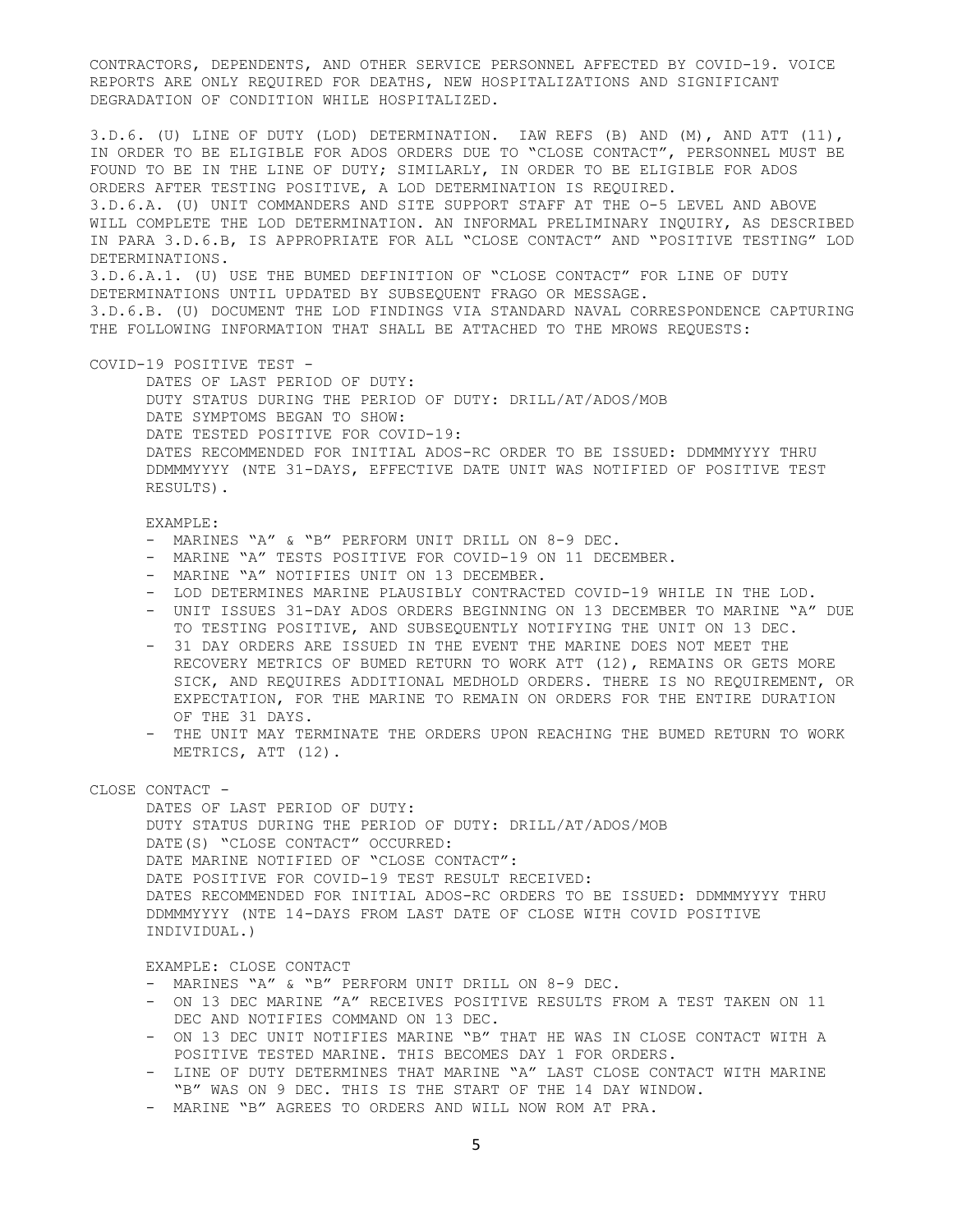CONTRACTORS, DEPENDENTS, AND OTHER SERVICE PERSONNEL AFFECTED BY COVID-19. VOICE REPORTS ARE ONLY REQUIRED FOR DEATHS, NEW HOSPITALIZATIONS AND SIGNIFICANT DEGRADATION OF CONDITION WHILE HOSPITALIZED.

3.D.6. (U) LINE OF DUTY (LOD) DETERMINATION. IAW REFS (B) AND (M), AND ATT (11), IN ORDER TO BE ELIGIBLE FOR ADOS ORDERS DUE TO "CLOSE CONTACT", PERSONNEL MUST BE FOUND TO BE IN THE LINE OF DUTY; SIMILARLY, IN ORDER TO BE ELIGIBLE FOR ADOS ORDERS AFTER TESTING POSITIVE, A LOD DETERMINATION IS REQUIRED. 3.D.6.A. (U) UNIT COMMANDERS AND SITE SUPPORT STAFF AT THE O-5 LEVEL AND ABOVE WILL COMPLETE THE LOD DETERMINATION. AN INFORMAL PRELIMINARY INQUIRY, AS DESCRIBED IN PARA 3.D.6.B, IS APPROPRIATE FOR ALL "CLOSE CONTACT" AND "POSITIVE TESTING" LOD DETERMINATIONS. 3.D.6.A.1. (U) USE THE BUMED DEFINITION OF "CLOSE CONTACT" FOR LINE OF DUTY DETERMINATIONS UNTIL UPDATED BY SUBSEQUENT FRAGO OR MESSAGE. 3.D.6.B. (U) DOCUMENT THE LOD FINDINGS VIA STANDARD NAVAL CORRESPONDENCE CAPTURING THE FOLLOWING INFORMATION THAT SHALL BE ATTACHED TO THE MROWS REOUESTS:

### COVID-19 POSITIVE TEST -

DATES OF LAST PERIOD OF DUTY: DUTY STATUS DURING THE PERIOD OF DUTY: DRILL/AT/ADOS/MOB DATE SYMPTOMS BEGAN TO SHOW: DATE TESTED POSITIVE FOR COVID-19: DATES RECOMMENDED FOR INITIAL ADOS-RC ORDER TO BE ISSUED: DDMMMYYYY THRU DDMMMYYYY (NTE 31-DAYS, EFFECTIVE DATE UNIT WAS NOTIFIED OF POSITIVE TEST RESULTS).

# EXAMPLE:

- MARINES "A" & "B" PERFORM UNIT DRILL ON 8-9 DEC.
- MARINE "A" TESTS POSITIVE FOR COVID-19 ON 11 DECEMBER.
- MARINE "A" NOTIFIES UNIT ON 13 DECEMBER.
- LOD DETERMINES MARINE PLAUSIBLY CONTRACTED COVID-19 WHILE IN THE LOD.
- UNIT ISSUES 31-DAY ADOS ORDERS BEGINNING ON 13 DECEMBER TO MARINE "A" DUE TO TESTING POSITIVE, AND SUBSEQUENTLY NOTIFYING THE UNIT ON 13 DEC.
- 31 DAY ORDERS ARE ISSUED IN THE EVENT THE MARINE DOES NOT MEET THE RECOVERY METRICS OF BUMED RETURN TO WORK ATT (12), REMAINS OR GETS MORE SICK, AND REQUIRES ADDITIONAL MEDHOLD ORDERS. THERE IS NO REQUIREMENT, OR EXPECTATION, FOR THE MARINE TO REMAIN ON ORDERS FOR THE ENTIRE DURATION OF THE 31 DAYS.
- THE UNIT MAY TERMINATE THE ORDERS UPON REACHING THE BUMED RETURN TO WORK METRICS, ATT (12).

# CLOSE CONTACT -

DATES OF LAST PERIOD OF DUTY: DUTY STATUS DURING THE PERIOD OF DUTY: DRILL/AT/ADOS/MOB DATE(S) "CLOSE CONTACT" OCCURRED: DATE MARINE NOTIFIED OF "CLOSE CONTACT": DATE POSITIVE FOR COVID-19 TEST RESULT RECEIVED: DATES RECOMMENDED FOR INITIAL ADOS-RC ORDERS TO BE ISSUED: DDMMMYYYY THRU DDMMMYYYY (NTE 14-DAYS FROM LAST DATE OF CLOSE WITH COVID POSITIVE INDIVIDUAL.)

### EXAMPLE: CLOSE CONTACT

- MARINES "A" & "B" PERFORM UNIT DRILL ON 8-9 DEC.
- ON 13 DEC MARINE "A" RECEIVES POSITIVE RESULTS FROM A TEST TAKEN ON 11 DEC AND NOTIFIES COMMAND ON 13 DEC.
- ON 13 DEC UNIT NOTIFIES MARINE "B" THAT HE WAS IN CLOSE CONTACT WITH A POSITIVE TESTED MARINE. THIS BECOMES DAY 1 FOR ORDERS.
- LINE OF DUTY DETERMINES THAT MARINE "A" LAST CLOSE CONTACT WITH MARINE "B" WAS ON 9 DEC. THIS IS THE START OF THE 14 DAY WINDOW.
- MARINE "B" AGREES TO ORDERS AND WILL NOW ROM AT PRA.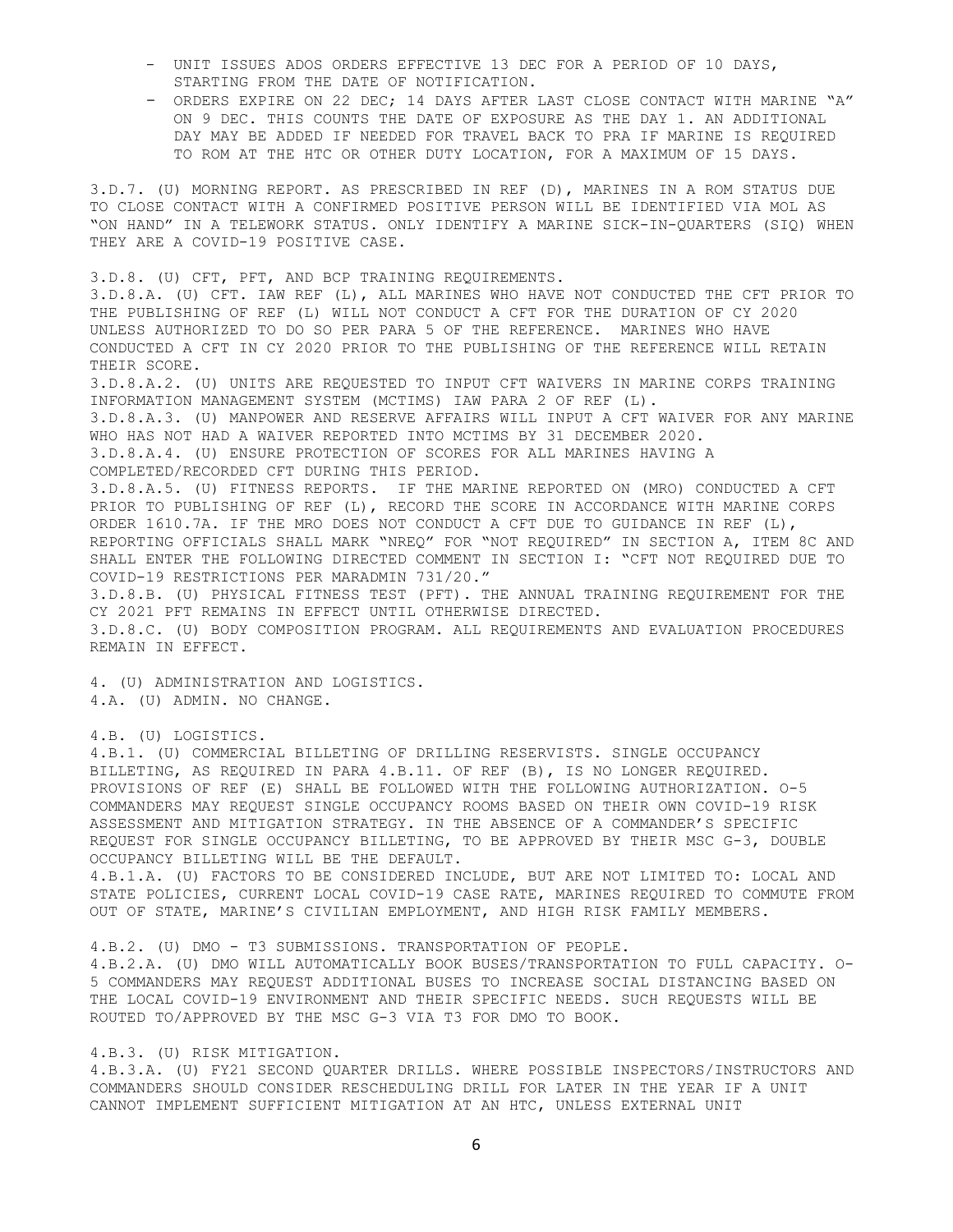- UNIT ISSUES ADOS ORDERS EFFECTIVE 13 DEC FOR A PERIOD OF 10 DAYS, STARTING FROM THE DATE OF NOTIFICATION.
- ORDERS EXPIRE ON 22 DEC; 14 DAYS AFTER LAST CLOSE CONTACT WITH MARINE "A" ON 9 DEC. THIS COUNTS THE DATE OF EXPOSURE AS THE DAY 1. AN ADDITIONAL DAY MAY BE ADDED IF NEEDED FOR TRAVEL BACK TO PRA IF MARINE IS REQUIRED TO ROM AT THE HTC OR OTHER DUTY LOCATION, FOR A MAXIMUM OF 15 DAYS.

3.D.7. (U) MORNING REPORT. AS PRESCRIBED IN REF (D), MARINES IN A ROM STATUS DUE TO CLOSE CONTACT WITH A CONFIRMED POSITIVE PERSON WILL BE IDENTIFIED VIA MOL AS "ON HAND" IN A TELEWORK STATUS. ONLY IDENTIFY A MARINE SICK-IN-QUARTERS (SIQ) WHEN THEY ARE A COVID-19 POSITIVE CASE.

3.D.8. (U) CFT, PFT, AND BCP TRAINING REQUIREMENTS. 3.D.8.A. (U) CFT. IAW REF (L), ALL MARINES WHO HAVE NOT CONDUCTED THE CFT PRIOR TO THE PUBLISHING OF REF (L) WILL NOT CONDUCT A CFT FOR THE DURATION OF CY 2020 UNLESS AUTHORIZED TO DO SO PER PARA 5 OF THE REFERENCE. MARINES WHO HAVE CONDUCTED A CFT IN CY 2020 PRIOR TO THE PUBLISHING OF THE REFERENCE WILL RETAIN THEIR SCORE. 3.D.8.A.2. (U) UNITS ARE REQUESTED TO INPUT CFT WAIVERS IN MARINE CORPS TRAINING INFORMATION MANAGEMENT SYSTEM (MCTIMS) IAW PARA 2 OF REF (L). 3.D.8.A.3. (U) MANPOWER AND RESERVE AFFAIRS WILL INPUT A CFT WAIVER FOR ANY MARINE WHO HAS NOT HAD A WAIVER REPORTED INTO MCTIMS BY 31 DECEMBER 2020. 3.D.8.A.4. (U) ENSURE PROTECTION OF SCORES FOR ALL MARINES HAVING A COMPLETED/RECORDED CFT DURING THIS PERIOD. 3.D.8.A.5. (U) FITNESS REPORTS. IF THE MARINE REPORTED ON (MRO) CONDUCTED A CFT PRIOR TO PUBLISHING OF REF (L), RECORD THE SCORE IN ACCORDANCE WITH MARINE CORPS ORDER 1610.7A. IF THE MRO DOES NOT CONDUCT A CFT DUE TO GUIDANCE IN REF (L), REPORTING OFFICIALS SHALL MARK "NREQ" FOR "NOT REQUIRED" IN SECTION A, ITEM 8C AND SHALL ENTER THE FOLLOWING DIRECTED COMMENT IN SECTION I: "CFT NOT REQUIRED DUE TO COVID-19 RESTRICTIONS PER MARADMIN 731/20." 3.D.8.B. (U) PHYSICAL FITNESS TEST (PFT). THE ANNUAL TRAINING REQUIREMENT FOR THE CY 2021 PFT REMAINS IN EFFECT UNTIL OTHERWISE DIRECTED. 3.D.8.C. (U) BODY COMPOSITION PROGRAM. ALL REQUIREMENTS AND EVALUATION PROCEDURES REMAIN IN EFFECT.

4. (U) ADMINISTRATION AND LOGISTICS. 4.A. (U) ADMIN. NO CHANGE.

4.B. (U) LOGISTICS.

4.B.1. (U) COMMERCIAL BILLETING OF DRILLING RESERVISTS. SINGLE OCCUPANCY BILLETING, AS REQUIRED IN PARA 4.B.11. OF REF (B), IS NO LONGER REQUIRED. PROVISIONS OF REF (E) SHALL BE FOLLOWED WITH THE FOLLOWING AUTHORIZATION. O-5 COMMANDERS MAY REQUEST SINGLE OCCUPANCY ROOMS BASED ON THEIR OWN COVID-19 RISK ASSESSMENT AND MITIGATION STRATEGY. IN THE ABSENCE OF A COMMANDER'S SPECIFIC REQUEST FOR SINGLE OCCUPANCY BILLETING, TO BE APPROVED BY THEIR MSC G-3, DOUBLE OCCUPANCY BILLETING WILL BE THE DEFAULT.

4.B.1.A. (U) FACTORS TO BE CONSIDERED INCLUDE, BUT ARE NOT LIMITED TO: LOCAL AND STATE POLICIES, CURRENT LOCAL COVID-19 CASE RATE, MARINES REQUIRED TO COMMUTE FROM OUT OF STATE, MARINE'S CIVILIAN EMPLOYMENT, AND HIGH RISK FAMILY MEMBERS.

4.B.2. (U) DMO - T3 SUBMISSIONS. TRANSPORTATION OF PEOPLE.

4.B.2.A. (U) DMO WILL AUTOMATICALLY BOOK BUSES/TRANSPORTATION TO FULL CAPACITY. O-5 COMMANDERS MAY REQUEST ADDITIONAL BUSES TO INCREASE SOCIAL DISTANCING BASED ON THE LOCAL COVID-19 ENVIRONMENT AND THEIR SPECIFIC NEEDS. SUCH REQUESTS WILL BE ROUTED TO/APPROVED BY THE MSC G-3 VIA T3 FOR DMO TO BOOK.

## 4.B.3. (U) RISK MITIGATION.

4.B.3.A. (U) FY21 SECOND QUARTER DRILLS. WHERE POSSIBLE INSPECTORS/INSTRUCTORS AND COMMANDERS SHOULD CONSIDER RESCHEDULING DRILL FOR LATER IN THE YEAR IF A UNIT CANNOT IMPLEMENT SUFFICIENT MITIGATION AT AN HTC, UNLESS EXTERNAL UNIT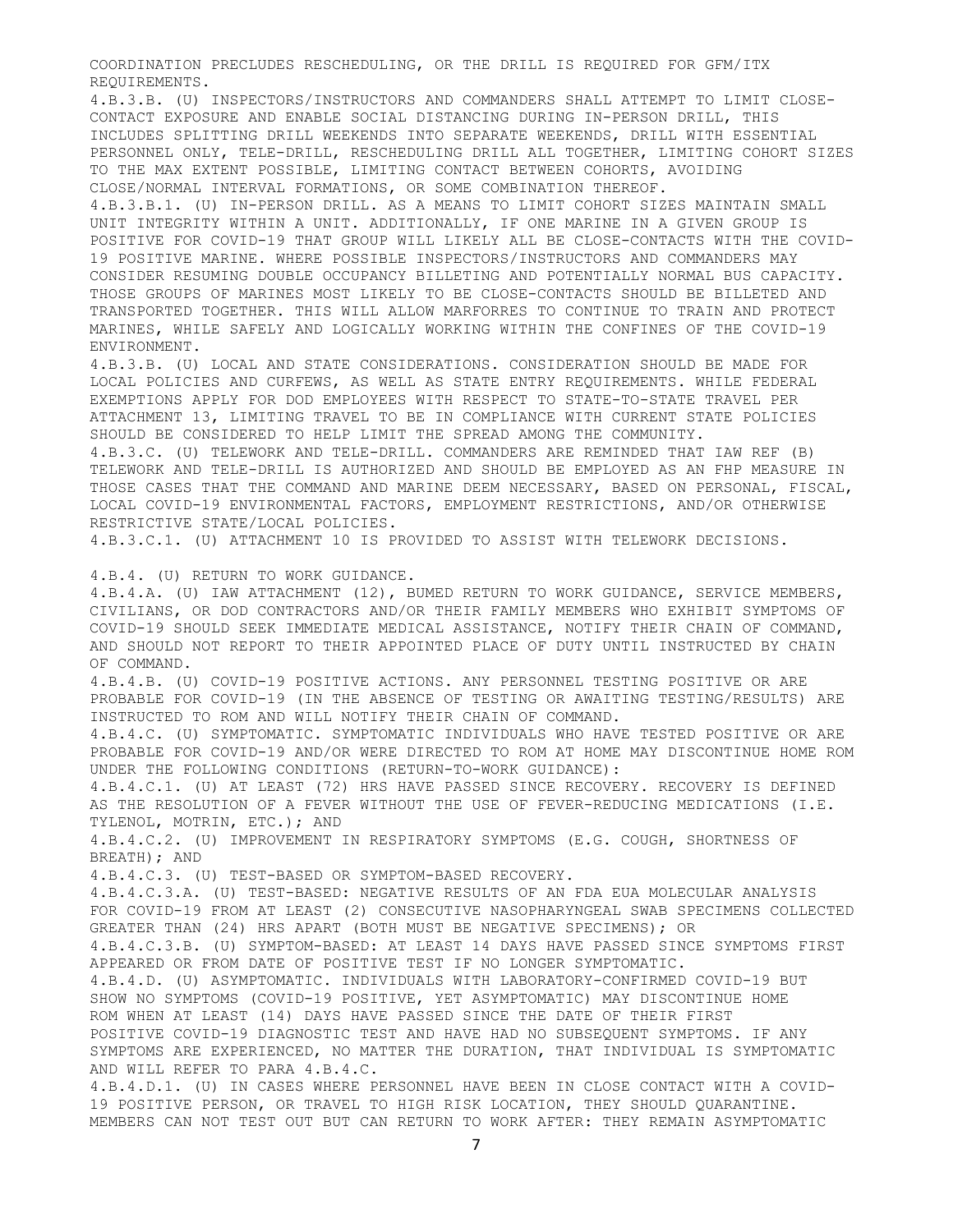COORDINATION PRECLUDES RESCHEDULING, OR THE DRILL IS REQUIRED FOR GFM/ITX REQUIREMENTS.

4.B.3.B. (U) INSPECTORS/INSTRUCTORS AND COMMANDERS SHALL ATTEMPT TO LIMIT CLOSE-CONTACT EXPOSURE AND ENABLE SOCIAL DISTANCING DURING IN-PERSON DRILL, THIS INCLUDES SPLITTING DRILL WEEKENDS INTO SEPARATE WEEKENDS, DRILL WITH ESSENTIAL PERSONNEL ONLY, TELE-DRILL, RESCHEDULING DRILL ALL TOGETHER, LIMITING COHORT SIZES TO THE MAX EXTENT POSSIBLE, LIMITING CONTACT BETWEEN COHORTS, AVOIDING CLOSE/NORMAL INTERVAL FORMATIONS, OR SOME COMBINATION THEREOF.

4.B.3.B.1. (U) IN-PERSON DRILL. AS A MEANS TO LIMIT COHORT SIZES MAINTAIN SMALL UNIT INTEGRITY WITHIN A UNIT. ADDITIONALLY, IF ONE MARINE IN A GIVEN GROUP IS POSITIVE FOR COVID-19 THAT GROUP WILL LIKELY ALL BE CLOSE-CONTACTS WITH THE COVID-19 POSITIVE MARINE. WHERE POSSIBLE INSPECTORS/INSTRUCTORS AND COMMANDERS MAY CONSIDER RESUMING DOUBLE OCCUPANCY BILLETING AND POTENTIALLY NORMAL BUS CAPACITY. THOSE GROUPS OF MARINES MOST LIKELY TO BE CLOSE-CONTACTS SHOULD BE BILLETED AND TRANSPORTED TOGETHER. THIS WILL ALLOW MARFORRES TO CONTINUE TO TRAIN AND PROTECT MARINES, WHILE SAFELY AND LOGICALLY WORKING WITHIN THE CONFINES OF THE COVID-19 ENVIRONMENT.

4.B.3.B. (U) LOCAL AND STATE CONSIDERATIONS. CONSIDERATION SHOULD BE MADE FOR LOCAL POLICIES AND CURFEWS, AS WELL AS STATE ENTRY REQUIREMENTS. WHILE FEDERAL EXEMPTIONS APPLY FOR DOD EMPLOYEES WITH RESPECT TO STATE-TO-STATE TRAVEL PER ATTACHMENT 13, LIMITING TRAVEL TO BE IN COMPLIANCE WITH CURRENT STATE POLICIES SHOULD BE CONSIDERED TO HELP LIMIT THE SPREAD AMONG THE COMMUNITY.

4.B.3.C. (U) TELEWORK AND TELE-DRILL. COMMANDERS ARE REMINDED THAT IAW REF (B) TELEWORK AND TELE-DRILL IS AUTHORIZED AND SHOULD BE EMPLOYED AS AN FHP MEASURE IN THOSE CASES THAT THE COMMAND AND MARINE DEEM NECESSARY, BASED ON PERSONAL, FISCAL, LOCAL COVID-19 ENVIRONMENTAL FACTORS, EMPLOYMENT RESTRICTIONS, AND/OR OTHERWISE RESTRICTIVE STATE/LOCAL POLICIES.

4.B.3.C.1. (U) ATTACHMENT 10 IS PROVIDED TO ASSIST WITH TELEWORK DECISIONS.

4.B.4. (U) RETURN TO WORK GUIDANCE.

4.B.4.A. (U) IAW ATTACHMENT (12), BUMED RETURN TO WORK GUIDANCE, SERVICE MEMBERS, CIVILIANS, OR DOD CONTRACTORS AND/OR THEIR FAMILY MEMBERS WHO EXHIBIT SYMPTOMS OF COVID-19 SHOULD SEEK IMMEDIATE MEDICAL ASSISTANCE, NOTIFY THEIR CHAIN OF COMMAND, AND SHOULD NOT REPORT TO THEIR APPOINTED PLACE OF DUTY UNTIL INSTRUCTED BY CHAIN OF COMMAND. 4.B.4.B. (U) COVID-19 POSITIVE ACTIONS. ANY PERSONNEL TESTING POSITIVE OR ARE

PROBABLE FOR COVID-19 (IN THE ABSENCE OF TESTING OR AWAITING TESTING/RESULTS) ARE INSTRUCTED TO ROM AND WILL NOTIFY THEIR CHAIN OF COMMAND.

4.B.4.C. (U) SYMPTOMATIC. SYMPTOMATIC INDIVIDUALS WHO HAVE TESTED POSITIVE OR ARE PROBABLE FOR COVID-19 AND/OR WERE DIRECTED TO ROM AT HOME MAY DISCONTINUE HOME ROM UNDER THE FOLLOWING CONDITIONS (RETURN-TO-WORK GUIDANCE):

4.B.4.C.1. (U) AT LEAST (72) HRS HAVE PASSED SINCE RECOVERY. RECOVERY IS DEFINED AS THE RESOLUTION OF A FEVER WITHOUT THE USE OF FEVER-REDUCING MEDICATIONS (I.E. TYLENOL, MOTRIN, ETC.); AND

4.B.4.C.2. (U) IMPROVEMENT IN RESPIRATORY SYMPTOMS (E.G. COUGH, SHORTNESS OF BREATH); AND

4.B.4.C.3. (U) TEST-BASED OR SYMPTOM-BASED RECOVERY.

4.B.4.C.3.A. (U) TEST-BASED: NEGATIVE RESULTS OF AN FDA EUA MOLECULAR ANALYSIS FOR COVID-19 FROM AT LEAST (2) CONSECUTIVE NASOPHARYNGEAL SWAB SPECIMENS COLLECTED GREATER THAN (24) HRS APART (BOTH MUST BE NEGATIVE SPECIMENS); OR

4.B.4.C.3.B. (U) SYMPTOM-BASED: AT LEAST 14 DAYS HAVE PASSED SINCE SYMPTOMS FIRST APPEARED OR FROM DATE OF POSITIVE TEST IF NO LONGER SYMPTOMATIC.

4.B.4.D. (U) ASYMPTOMATIC. INDIVIDUALS WITH LABORATORY-CONFIRMED COVID-19 BUT SHOW NO SYMPTOMS (COVID-19 POSITIVE, YET ASYMPTOMATIC) MAY DISCONTINUE HOME ROM WHEN AT LEAST (14) DAYS HAVE PASSED SINCE THE DATE OF THEIR FIRST POSITIVE COVID-19 DIAGNOSTIC TEST AND HAVE HAD NO SUBSEQUENT SYMPTOMS. IF ANY SYMPTOMS ARE EXPERIENCED, NO MATTER THE DURATION, THAT INDIVIDUAL IS SYMPTOMATIC AND WILL REFER TO PARA 4.B.4.C.

4.B.4.D.1. (U) IN CASES WHERE PERSONNEL HAVE BEEN IN CLOSE CONTACT WITH A COVID-19 POSITIVE PERSON, OR TRAVEL TO HIGH RISK LOCATION, THEY SHOULD QUARANTINE. MEMBERS CAN NOT TEST OUT BUT CAN RETURN TO WORK AFTER: THEY REMAIN ASYMPTOMATIC